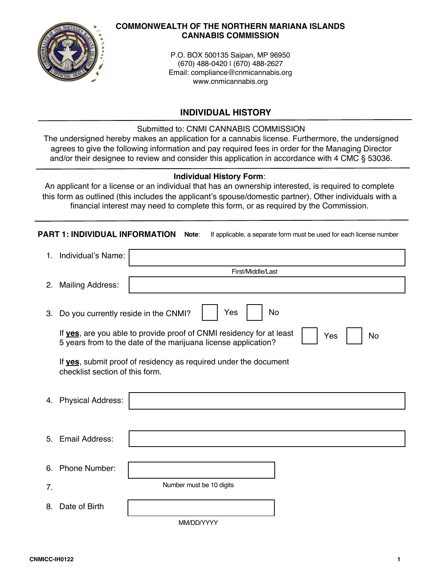

### **COMMONWEALTH OF THE NORTHERN MARIANA ISLANDS CANNABIS COMMISSION**

P.O. BOX 500135 Saipan, MP 96950 (670) 488-0420 | (670) 488-2627 Email: compliance@cnmicannabis.org www.cnmicannabis.org

# **INDIVIDUAL HISTORY**

# Submitted to: CNMI CANNABIS COMMISSION

The undersigned hereby makes an application for a cannabis license. Furthermore, the undersigned agrees to give the following information and pay required fees in order for the Managing Director and/or their designee to review and consider this application in accordance with 4 CMC § 53036.

# **Individual History Form**:

An applicant for a license or an individual that has an ownership interested, is required to complete this form as outlined (this includes the applicant's spouse/domestic partner). Other individuals with a financial interest may need to complete this form, or as required by the Commission.

|    | <b>PART 1: INDIVIDUAL INFORMATION</b>                                                                                                               | If applicable, a separate form must be used for each license number<br>Note: |  |  |  |
|----|-----------------------------------------------------------------------------------------------------------------------------------------------------|------------------------------------------------------------------------------|--|--|--|
| 1. | Individual's Name:                                                                                                                                  |                                                                              |  |  |  |
|    |                                                                                                                                                     | First/Middle/Last                                                            |  |  |  |
| 2. | <b>Mailing Address:</b>                                                                                                                             |                                                                              |  |  |  |
| 3. | Yes<br>No<br>Do you currently reside in the CNMI?                                                                                                   |                                                                              |  |  |  |
|    | If yes, are you able to provide proof of CNMI residency for at least<br>Yes<br>No<br>5 years from to the date of the marijuana license application? |                                                                              |  |  |  |
|    | If yes, submit proof of residency as required under the document<br>checklist section of this form.                                                 |                                                                              |  |  |  |
| 4. | <b>Physical Address:</b>                                                                                                                            |                                                                              |  |  |  |
|    |                                                                                                                                                     |                                                                              |  |  |  |
| 5. | Email Address:                                                                                                                                      |                                                                              |  |  |  |
| 6. | Phone Number:                                                                                                                                       |                                                                              |  |  |  |
| 7. |                                                                                                                                                     | Number must be 10 digits                                                     |  |  |  |
| 8. | Date of Birth                                                                                                                                       |                                                                              |  |  |  |
|    |                                                                                                                                                     | MM/DD/YYYY                                                                   |  |  |  |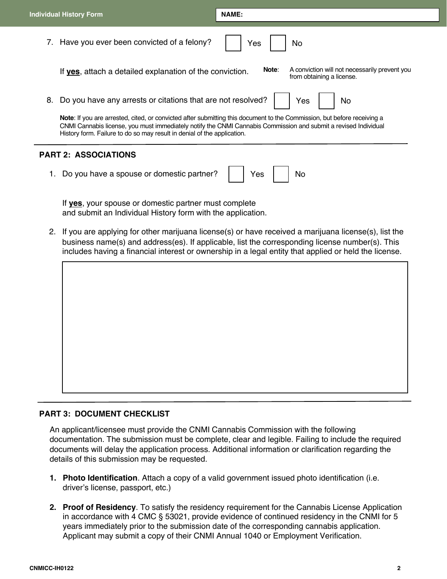|                             | Individual History Form                                                                                                                                                                                                                                                                                                      | <b>NAME:</b>                                                                        |  |  |  |  |
|-----------------------------|------------------------------------------------------------------------------------------------------------------------------------------------------------------------------------------------------------------------------------------------------------------------------------------------------------------------------|-------------------------------------------------------------------------------------|--|--|--|--|
|                             | 7. Have you ever been convicted of a felony?                                                                                                                                                                                                                                                                                 | Yes<br>No                                                                           |  |  |  |  |
|                             | If yes, attach a detailed explanation of the conviction.                                                                                                                                                                                                                                                                     | Note:<br>A conviction will not necessarily prevent you<br>from obtaining a license. |  |  |  |  |
| 8.                          | Do you have any arrests or citations that are not resolved?                                                                                                                                                                                                                                                                  | Yes<br>No                                                                           |  |  |  |  |
|                             | <b>Note:</b> If you are arrested, cited, or convicted after submitting this document to the Commission, but before receiving a<br>CNMI Cannabis license, you must immediately notify the CNMI Cannabis Commission and submit a revised Individual<br>History form. Failure to do so may result in denial of the application. |                                                                                     |  |  |  |  |
| <b>PART 2: ASSOCIATIONS</b> |                                                                                                                                                                                                                                                                                                                              |                                                                                     |  |  |  |  |
|                             | Do you have a spouse or domestic partner?                                                                                                                                                                                                                                                                                    | Yes<br>No                                                                           |  |  |  |  |

If **yes**, your spouse or domestic partner must complete and submit an Individual History form with the application.

2. If you are applying for other marijuana license(s) or have received a marijuana license(s), list the business name(s) and address(es). If applicable, list the corresponding license number(s). This includes having a financial interest or ownership in a legal entity that applied or held the license.



## **PART 3: DOCUMENT CHECKLIST**

An applicant/licensee must provide the CNMI Cannabis Commission with the following documentation. The submission must be complete, clear and legible. Failing to include the required documents will delay the application process. Additional information or clarification regarding the details of this submission may be requested.

- **1. Photo Identification**. Attach a copy of a valid government issued photo identification (i.e. driver's license, passport, etc.)
- **2. Proof of Residency**. To satisfy the residency requirement for the Cannabis License Application in accordance with 4 CMC § 53021, provide evidence of continued residency in the CNMI for 5 years immediately prior to the submission date of the corresponding cannabis application. Applicant may submit a copy of their CNMI Annual 1040 or Employment Verification.